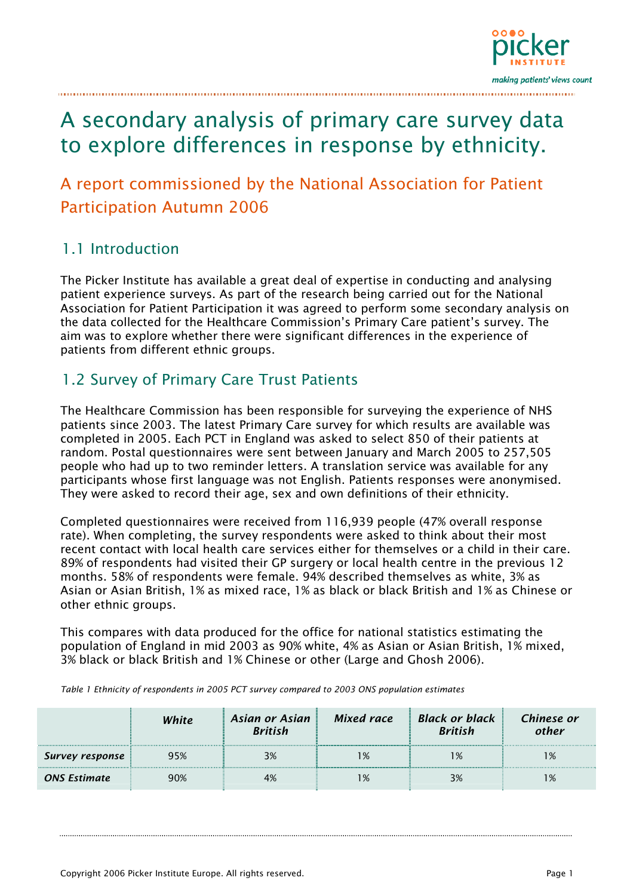

# A secondary analysis of primary care survey data to explore differences in response by ethnicity.

# A report commissioned by the National Association for Patient Participation Autumn 2006

# 1.1 Introduction

The Picker Institute has available a great deal of expertise in conducting and analysing patient experience surveys. As part of the research being carried out for the National Association for Patient Participation it was agreed to perform some secondary analysis on the data collected for the Healthcare Commission's Primary Care patient's survey. The aim was to explore whether there were significant differences in the experience of patients from different ethnic groups.

# 1.2 Survey of Primary Care Trust Patients

The Healthcare Commission has been responsible for surveying the experience of NHS patients since 2003. The latest Primary Care survey for which results are available was completed in 2005. Each PCT in England was asked to select 850 of their patients at random. Postal questionnaires were sent between January and March 2005 to 257,505 people who had up to two reminder letters. A translation service was available for any participants whose first language was not English. Patients responses were anonymised. They were asked to record their age, sex and own definitions of their ethnicity.

Completed questionnaires were received from 116,939 people (47% overall response rate). When completing, the survey respondents were asked to think about their most recent contact with local health care services either for themselves or a child in their care. 89% of respondents had visited their GP surgery or local health centre in the previous 12 months. 58% of respondents were female. 94% described themselves as white, 3% as Asian or Asian British, 1% as mixed race, 1% as black or black British and 1% as Chinese or other ethnic groups.

This compares with data produced for the office for national statistics estimating the population of England in mid 2003 as 90% white, 4% as Asian or Asian British, 1% mixed, 3% black or black British and 1% Chinese or other (Large and Ghosh 2006).

*White Asian or Asian British Mixed race Black or black British Chinese or other Survey response* 95% 3% 1% 1% 1% *ONS Estimate* 90% 4% 1% 3% 1%

*Table 1 Ethnicity of respondents in 2005 PCT survey compared to 2003 ONS population estimates*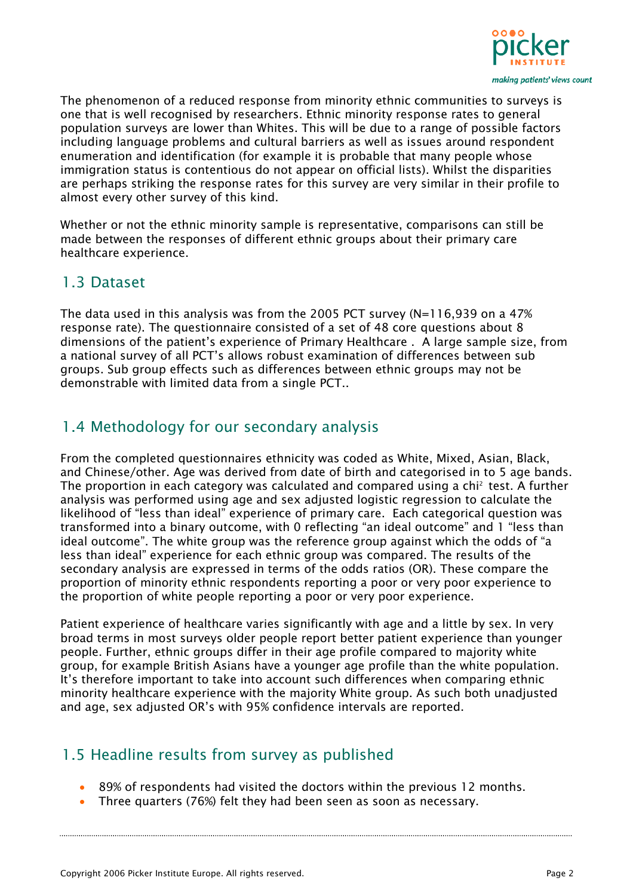

The phenomenon of a reduced response from minority ethnic communities to surveys is one that is well recognised by researchers. Ethnic minority response rates to general population surveys are lower than Whites. This will be due to a range of possible factors including language problems and cultural barriers as well as issues around respondent enumeration and identification (for example it is probable that many people whose immigration status is contentious do not appear on official lists). Whilst the disparities are perhaps striking the response rates for this survey are very similar in their profile to almost every other survey of this kind.

Whether or not the ethnic minority sample is representative, comparisons can still be made between the responses of different ethnic groups about their primary care healthcare experience.

# 1.3 Dataset

The data used in this analysis was from the 2005 PCT survey ( $N=116,939$  on a 47% response rate). The questionnaire consisted of a set of 48 core questions about 8 dimensions of the patient's experience of Primary Healthcare . A large sample size, from a national survey of all PCT's allows robust examination of differences between sub groups. Sub group effects such as differences between ethnic groups may not be demonstrable with limited data from a single PCT..

# 1.4 Methodology for our secondary analysis

From the completed questionnaires ethnicity was coded as White, Mixed, Asian, Black, and Chinese/other. Age was derived from date of birth and categorised in to 5 age bands. The proportion in each category was calculated and compared using a chi<sup>2</sup> test. A further analysis was performed using age and sex adjusted logistic regression to calculate the likelihood of "less than ideal" experience of primary care. Each categorical question was transformed into a binary outcome, with 0 reflecting "an ideal outcome" and 1 "less than ideal outcome". The white group was the reference group against which the odds of "a less than ideal" experience for each ethnic group was compared. The results of the secondary analysis are expressed in terms of the odds ratios (OR). These compare the proportion of minority ethnic respondents reporting a poor or very poor experience to the proportion of white people reporting a poor or very poor experience.

Patient experience of healthcare varies significantly with age and a little by sex. In very broad terms in most surveys older people report better patient experience than younger people. Further, ethnic groups differ in their age profile compared to majority white group, for example British Asians have a younger age profile than the white population. It's therefore important to take into account such differences when comparing ethnic minority healthcare experience with the majority White group. As such both unadjusted and age, sex adjusted OR's with 95% confidence intervals are reported.

# 1.5 Headline results from survey as published

- 89% of respondents had visited the doctors within the previous 12 months.
- Three quarters (76%) felt they had been seen as soon as necessary.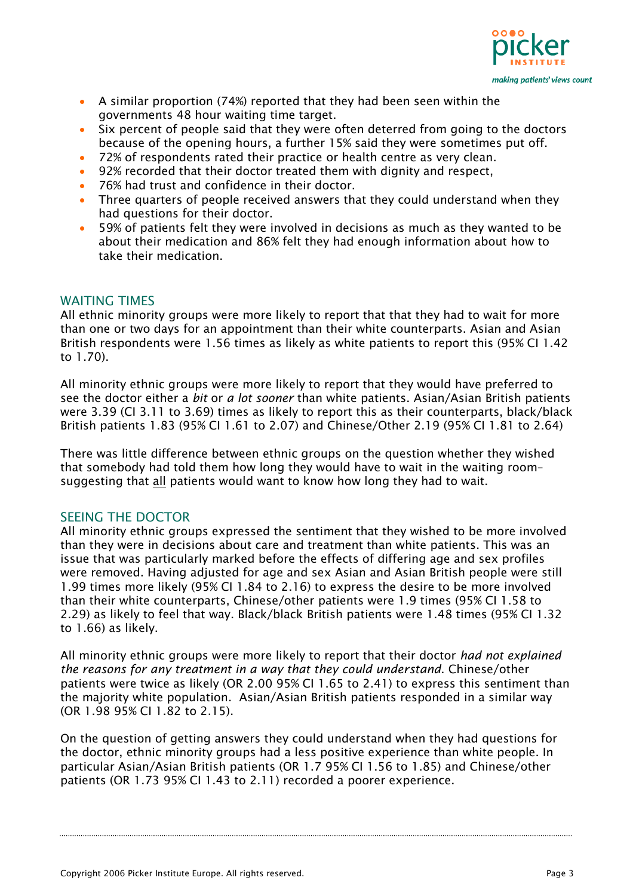

- A similar proportion (74%) reported that they had been seen within the governments 48 hour waiting time target.
- Six percent of people said that they were often deterred from going to the doctors because of the opening hours, a further 15% said they were sometimes put off.
- 72% of respondents rated their practice or health centre as very clean.
- 92% recorded that their doctor treated them with dignity and respect,
- 76% had trust and confidence in their doctor.
- Three quarters of people received answers that they could understand when they had questions for their doctor.
- 59% of patients felt they were involved in decisions as much as they wanted to be about their medication and 86% felt they had enough information about how to take their medication.

#### WAITING TIMES

All ethnic minority groups were more likely to report that that they had to wait for more than one or two days for an appointment than their white counterparts. Asian and Asian British respondents were 1.56 times as likely as white patients to report this (95% CI 1.42 to 1.70).

All minority ethnic groups were more likely to report that they would have preferred to see the doctor either a *bit* or *a lot sooner* than white patients. Asian/Asian British patients were 3.39 (CI 3.11 to 3.69) times as likely to report this as their counterparts, black/black British patients 1.83 (95% CI 1.61 to 2.07) and Chinese/Other 2.19 (95% CI 1.81 to 2.64)

There was little difference between ethnic groups on the question whether they wished that somebody had told them how long they would have to wait in the waiting room– suggesting that all patients would want to know how long they had to wait.

#### SEEING THE DOCTOR

All minority ethnic groups expressed the sentiment that they wished to be more involved than they were in decisions about care and treatment than white patients. This was an issue that was particularly marked before the effects of differing age and sex profiles were removed. Having adjusted for age and sex Asian and Asian British people were still 1.99 times more likely (95% CI 1.84 to 2.16) to express the desire to be more involved than their white counterparts, Chinese/other patients were 1.9 times (95% CI 1.58 to 2.29) as likely to feel that way. Black/black British patients were 1.48 times (95% CI 1.32 to 1.66) as likely.

All minority ethnic groups were more likely to report that their doctor *had not explained the reasons for any treatment in a way that they could understand*. Chinese/other patients were twice as likely (OR 2.00 95% CI 1.65 to 2.41) to express this sentiment than the majority white population. Asian/Asian British patients responded in a similar way (OR 1.98 95% CI 1.82 to 2.15).

On the question of getting answers they could understand when they had questions for the doctor, ethnic minority groups had a less positive experience than white people. In particular Asian/Asian British patients (OR 1.7 95% CI 1.56 to 1.85) and Chinese/other patients (OR 1.73 95% CI 1.43 to 2.11) recorded a poorer experience.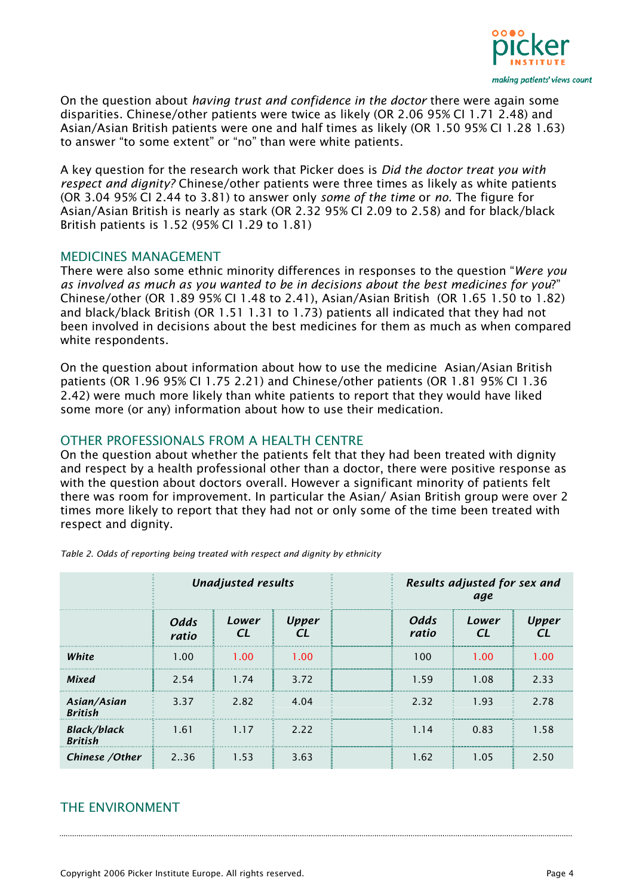

On the question about *having trust and confidence in the doctor* there were again some disparities. Chinese/other patients were twice as likely (OR 2.06 95% CI 1.71 2.48) and Asian/Asian British patients were one and half times as likely (OR 1.50 95% CI 1.28 1.63) to answer "to some extent" or "no" than were white patients.

A key question for the research work that Picker does is *Did the doctor treat you with respect and dignity?* Chinese/other patients were three times as likely as white patients (OR 3.04 95% CI 2.44 to 3.81) to answer only *some of the time* or *no.* The figure for Asian/Asian British is nearly as stark (OR 2.32 95% CI 2.09 to 2.58) and for black/black British patients is 1.52 (95% CI 1.29 to 1.81)

#### MEDICINES MANAGEMENT

There were also some ethnic minority differences in responses to the question "*Were you as involved as much as you wanted to be in decisions about the best medicines for you*?" Chinese/other (OR 1.89 95% CI 1.48 to 2.41), Asian/Asian British (OR 1.65 1.50 to 1.82) and black/black British (OR 1.51 1.31 to 1.73) patients all indicated that they had not been involved in decisions about the best medicines for them as much as when compared white respondents.

On the question about information about how to use the medicine Asian/Asian British patients (OR 1.96 95% CI 1.75 2.21) and Chinese/other patients (OR 1.81 95% CI 1.36 2.42) were much more likely than white patients to report that they would have liked some more (or any) information about how to use their medication.

#### OTHER PROFESSIONALS FROM A HEALTH CENTRE

On the question about whether the patients felt that they had been treated with dignity and respect by a health professional other than a doctor, there were positive response as with the question about doctors overall. However a significant minority of patients felt there was room for improvement. In particular the Asian/ Asian British group were over 2 times more likely to report that they had not or only some of the time been treated with respect and dignity.

|                                      | <b>Unadjusted results</b> |             |                               |  | Results adjusted for sex and<br>age |       |       |  |
|--------------------------------------|---------------------------|-------------|-------------------------------|--|-------------------------------------|-------|-------|--|
|                                      | Odds<br>ratio             | Lower<br>CI | <b>Upper</b><br>$\mathcal{C}$ |  | Odds<br>ratio                       | Lower | Upper |  |
| White                                | 1.00                      | 1.00        | 1.00                          |  | 100                                 | 1.00  | 1.00  |  |
| Mixed                                | 2.54                      | 1.74        | 3.72                          |  | 1.59                                | 1.08  | 2.33  |  |
| Asian/Asian<br><b>British</b>        | 3.37                      | 2.82        | 4.04                          |  | 2.32                                | 1.93  | 2.78  |  |
| <b>Black/black</b><br><b>British</b> | 1.61                      | 1.17        | 2.22                          |  | 1.14                                | 0.83  | 1.58  |  |
| Chinese / Other                      | 2.36                      | 1.53        | 3.63                          |  | 1.62                                | 1.05  | 2.50  |  |

*Table 2. Odds of reporting being treated with respect and dignity by ethnicity* 

#### THE ENVIRONMENT